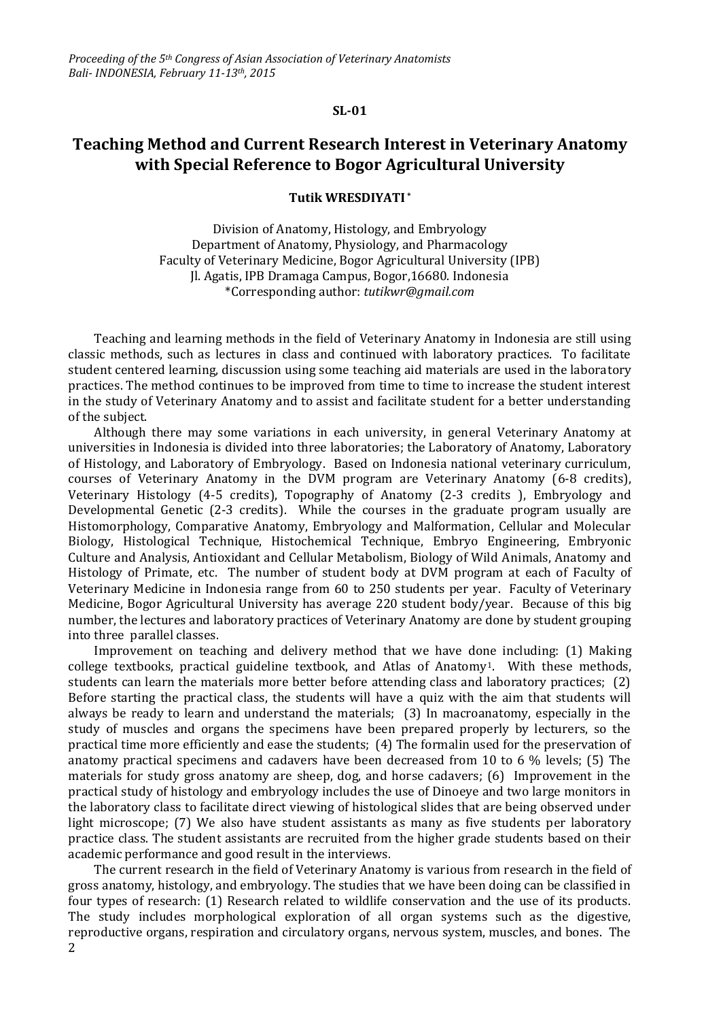## **SL-01**

## **Teaching Method and Current Research Interest in Veterinary Anatomy with Special Reference to Bogor Agricultural University**

## **Tutik WRESDIYATI \***

Division of Anatomy, Histology, and Embryology Department of Anatomy, Physiology, and Pharmacology Faculty of Veterinary Medicine, Bogor Agricultural University (IPB) Jl. Agatis, IPB Dramaga Campus, Bogor,16680. Indonesia \*Corresponding author: *[tutikwr@gmail.com](mailto:tutikwr@gmail.com)*

Teaching and learning methods in the field of Veterinary Anatomy in Indonesia are still using classic methods, such as lectures in class and continued with laboratory practices. To facilitate student centered learning, discussion using some teaching aid materials are used in the laboratory practices. The method continues to be improved from time to time to increase the student interest in the study of Veterinary Anatomy and to assist and facilitate student for a better understanding of the subject.

Although there may some variations in each university, in general Veterinary Anatomy at universities in Indonesia is divided into three laboratories; the Laboratory of Anatomy, Laboratory of Histology, and Laboratory of Embryology. Based on Indonesia national veterinary curriculum, courses of Veterinary Anatomy in the DVM program are Veterinary Anatomy (6-8 credits), Veterinary Histology (4-5 credits), Topography of Anatomy (2-3 credits ), Embryology and Developmental Genetic (2-3 credits). While the courses in the graduate program usually are Histomorphology, Comparative Anatomy, Embryology and Malformation, Cellular and Molecular Biology, Histological Technique, Histochemical Technique, Embryo Engineering, Embryonic Culture and Analysis, Antioxidant and Cellular Metabolism, Biology of Wild Animals, Anatomy and Histology of Primate, etc. The number of student body at DVM program at each of Faculty of Veterinary Medicine in Indonesia range from 60 to 250 students per year. Faculty of Veterinary Medicine, Bogor Agricultural University has average 220 student body/year. Because of this big number, the lectures and laboratory practices of Veterinary Anatomy are done by student grouping into three parallel classes.

Improvement on teaching and delivery method that we have done including: (1) Making college textbooks, practical guideline textbook, and Atlas of Anatomy1. With these methods, students can learn the materials more better before attending class and laboratory practices; (2) Before starting the practical class, the students will have a quiz with the aim that students will always be ready to learn and understand the materials; (3) In macroanatomy, especially in the study of muscles and organs the specimens have been prepared properly by lecturers, so the practical time more efficiently and ease the students; (4) The formalin used for the preservation of anatomy practical specimens and cadavers have been decreased from 10 to 6 % levels; (5) The materials for study gross anatomy are sheep, dog, and horse cadavers; (6) Improvement in the practical study of histology and embryology includes the use of Dinoeye and two large monitors in the laboratory class to facilitate direct viewing of histological slides that are being observed under light microscope; (7) We also have student assistants as many as five students per laboratory practice class. The student assistants are recruited from the higher grade students based on their academic performance and good result in the interviews.

The current research in the field of Veterinary Anatomy is various from research in the field of gross anatomy, histology, and embryology. The studies that we have been doing can be classified in four types of research: (1) Research related to wildlife conservation and the use of its products. The study includes morphological exploration of all organ systems such as the digestive, reproductive organs, respiration and circulatory organs, nervous system, muscles, and bones. The